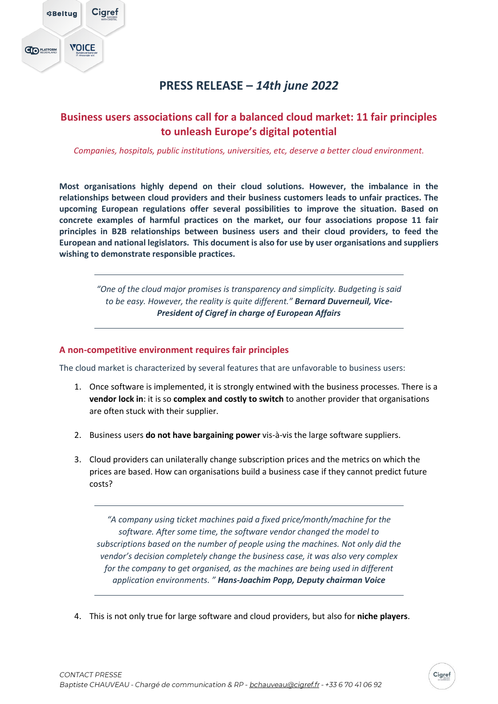

# **PRESS RELEASE –** *14th june 2022*

## **Business users associations call for a balanced cloud market: 11 fair principles to unleash Europe's digital potential**

*Companies, hospitals, public institutions, universities, etc, deserve a better cloud environment.*

**Most organisations highly depend on their cloud solutions. However, the imbalance in the relationships between cloud providers and their business customers leads to unfair practices. The upcoming European regulations offer several possibilities to improve the situation. Based on concrete examples of harmful practices on the market, our four associations propose 11 fair principles in B2B relationships between business users and their cloud providers, to feed the European and national legislators. This document is also for use by user organisations and suppliers wishing to demonstrate responsible practices.**

> *"One of the cloud major promises is transparency and simplicity. Budgeting is said to be easy. However, the reality is quite different." Bernard Duverneuil, Vice-President of Cigref in charge of European Affairs*

### **A non-competitive environment requires fair principles**

The cloud market is characterized by several features that are unfavorable to business users:

- 1. Once software is implemented, it is strongly entwined with the business processes. There is a **vendor lock in**: it is so **complex and costly to switch** to another provider that organisations are often stuck with their supplier.
- 2. Business users **do not have bargaining power** vis-à-vis the large software suppliers.
- 3. Cloud providers can unilaterally change subscription prices and the metrics on which the prices are based. How can organisations build a business case if they cannot predict future costs?

*"A company using ticket machines paid a fixed price/month/machine for the software. After some time, the software vendor changed the model to subscriptions based on the number of people using the machines. Not only did the vendor's decision completely change the business case, it was also very complex for the company to get organised, as the machines are being used in different application environments. " Hans-Joachim Popp, Deputy chairman Voice*

4. This is not only true for large software and cloud providers, but also for **niche players**.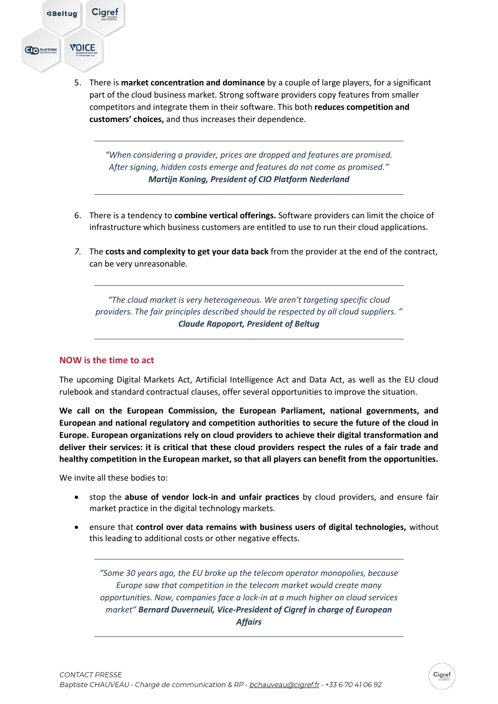

5. There is **market concentration and dominance** by a couple of large players, for a significant part of the cloud business market. Strong software providers copy features from smaller competitors and integrate them in their software. This both **reduces competition and customers' choices,** and thus increases their dependence.

*"When considering a provider, prices are dropped and features are promised. After signing, hidden costs emerge and features do not come as promised." Martijn Koning, President of CIO Platform Nederland*

- 6. There is a tendency to **combine vertical offerings.** Software providers can limit the choice of infrastructure which business customers are entitled to use to run their cloud applications.
- *7.* The **costs and complexity to get your data back** from the provider at the end of the contract, can be very unreasonable.

*"The cloud market is very heterogeneous. We aren't targeting specific cloud providers. The fair principles described should be respected by all cloud suppliers. " Claude Rapoport, President of Beltug*

### **NOW is the time to act**

The upcoming Digital Markets Act, Artificial Intelligence Act and Data Act, as well as the EU cloud rulebook and standard contractual clauses, offer several opportunities to improve the situation.

**We call on the European Commission, the European Parliament, national governments, and European and national regulatory and competition authorities to secure the future of the cloud in Europe. European organizations rely on cloud providers to achieve their digital transformation and deliver their services: it is critical that these cloud providers respect the rules of a fair trade and healthy competition in the European market, so that all players can benefit from the opportunities.**

We invite all these bodies to:

- stop the **abuse of vendor lock-in and unfair practices** by cloud providers, and ensure fair market practice in the digital technology markets.
- ensure that **control over data remains with business users of digital technologies,** without this leading to additional costs or other negative effects.

*"Some 30 years ago, the EU broke up the telecom operator monopolies, because Europe saw that competition in the telecom market would create many opportunities. Now, companies face a lock-in at a much higher on cloud services market" Bernard Duverneuil, Vice-President of Cigref in charge of European Affairs*